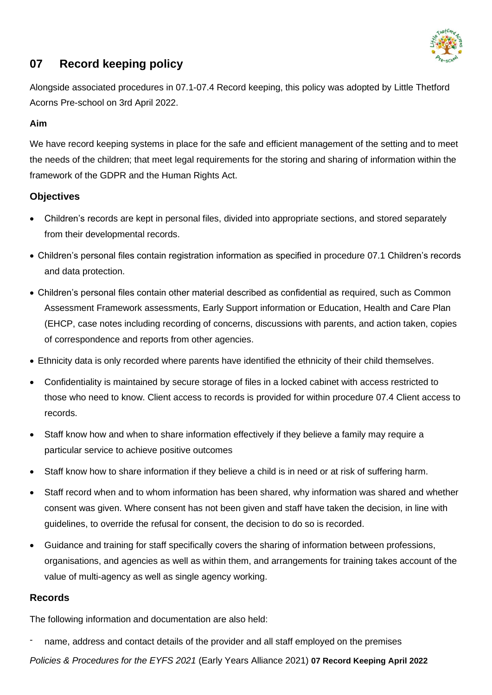

# **07 Record keeping policy**

Alongside associated procedures in 07.1-07.4 Record keeping, this policy was adopted by Little Thetford Acorns Pre-school on 3rd April 2022.

## **Aim**

We have record keeping systems in place for the safe and efficient management of the setting and to meet the needs of the children; that meet legal requirements for the storing and sharing of information within the framework of the GDPR and the Human Rights Act.

# **Objectives**

- Children's records are kept in personal files, divided into appropriate sections, and stored separately from their developmental records.
- Children's personal files contain registration information as specified in procedure 07.1 Children's records and data protection.
- Children's personal files contain other material described as confidential as required, such as Common Assessment Framework assessments, Early Support information or Education, Health and Care Plan (EHCP, case notes including recording of concerns, discussions with parents, and action taken, copies of correspondence and reports from other agencies.
- Ethnicity data is only recorded where parents have identified the ethnicity of their child themselves.
- Confidentiality is maintained by secure storage of files in a locked cabinet with access restricted to those who need to know. Client access to records is provided for within procedure 07.4 Client access to records.
- Staff know how and when to share information effectively if they believe a family may require a particular service to achieve positive outcomes
- Staff know how to share information if they believe a child is in need or at risk of suffering harm.
- Staff record when and to whom information has been shared, why information was shared and whether consent was given. Where consent has not been given and staff have taken the decision, in line with guidelines, to override the refusal for consent, the decision to do so is recorded.
- Guidance and training for staff specifically covers the sharing of information between professions, organisations, and agencies as well as within them, and arrangements for training takes account of the value of multi-agency as well as single agency working.

## **Records**

The following information and documentation are also held:

name, address and contact details of the provider and all staff employed on the premises

*Policies & Procedures for the EYFS 2021* (Early Years Alliance 2021) **07 Record Keeping April 2022**